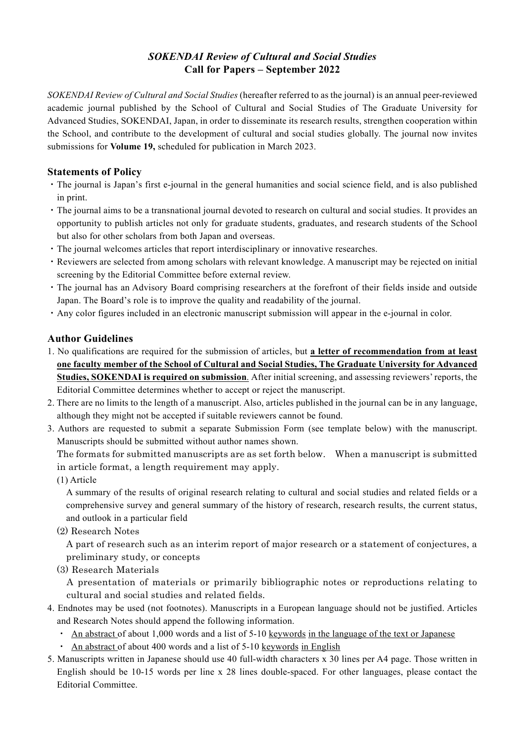## *SOKENDAI Review of Cultural and Social Studies* **Call for Papers – September 2022**

*SOKENDAI Review of Cultural and Social Studies* (hereafter referred to as the journal) is an annual peer-reviewed academic journal published by the School of Cultural and Social Studies of The Graduate University for Advanced Studies, SOKENDAI, Japan, in order to disseminate its research results, strengthen cooperation within the School, and contribute to the development of cultural and social studies globally. The journal now invites submissions for **Volume 19,** scheduled for publication in March 2023.

## **Statements of Policy**

- ・The journal is Japan's first e-journal in the general humanities and social science field, and is also published in print.
- ・The journal aims to be a transnational journal devoted to research on cultural and social studies. It provides an opportunity to publish articles not only for graduate students, graduates, and research students of the School but also for other scholars from both Japan and overseas.
- ・The journal welcomes articles that report interdisciplinary or innovative researches.
- ・Reviewers are selected from among scholars with relevant knowledge. A manuscript may be rejected on initial screening by the Editorial Committee before external review.
- ・The journal has an Advisory Board comprising researchers at the forefront of their fields inside and outside Japan. The Board's role is to improve the quality and readability of the journal.
- ・Any color figures included in an electronic manuscript submission will appear in the e-journal in color.

## **Author Guidelines**

- 1. No qualifications are required for the submission of articles, but **a letter of recommendation from at least one faculty member of the School of Cultural and Social Studies, The Graduate University for Advanced Studies, SOKENDAI is required on submission**. After initial screening, and assessing reviewers' reports, the Editorial Committee determines whether to accept or reject the manuscript.
- 2. There are no limits to the length of a manuscript. Also, articles published in the journal can be in any language, although they might not be accepted if suitable reviewers cannot be found.
- 3. Authors are requested to submit a separate Submission Form (see template below) with the manuscript. Manuscripts should be submitted without author names shown.

The formats for submitted manuscripts are as set forth below. When a manuscript is submitted in article format, a length requirement may apply.

(1) Article

 A summary of the results of original research relating to cultural and social studies and related fields or a comprehensive survey and general summary of the history of research, research results, the current status, and outlook in a particular field

(2) Research Notes

A part of research such as an interim report of major research or a statement of conjectures, a preliminary study, or concepts

(3) Research Materials

A presentation of materials or primarily bibliographic notes or reproductions relating to cultural and social studies and related fields.

- 4. Endnotes may be used (not footnotes). Manuscripts in a European language should not be justified. Articles and Research Notes should append the following information.
	- An abstract of about 1,000 words and a list of 5-10 keywords in the language of the text or Japanese
	- ・ An abstract of about 400 words and a list of 5-10 keywords in English
- 5. Manuscripts written in Japanese should use 40 full-width characters x 30 lines per A4 page. Those written in English should be 10-15 words per line x 28 lines double-spaced. For other languages, please contact the Editorial Committee.